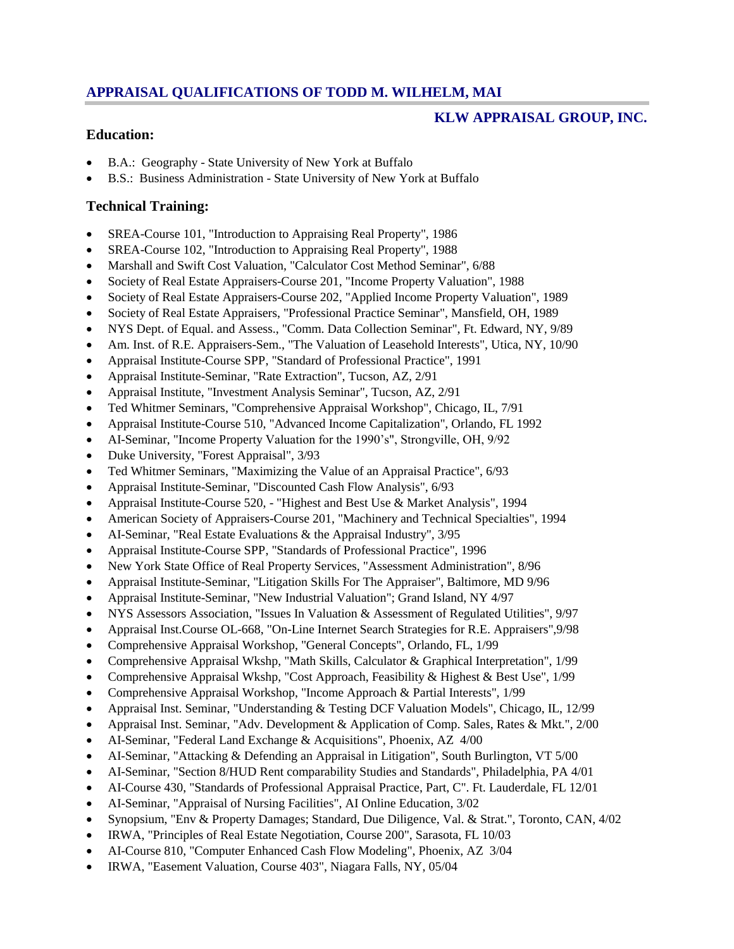# **APPRAISAL QUALIFICATIONS OF TODD M. WILHELM, MAI**

## **KLW APPRAISAL GROUP, INC.**

## **Education:**

- B.A.: Geography State University of New York at Buffalo
- B.S.: Business Administration State University of New York at Buffalo

## **Technical Training:**

- SREA-Course 101, "Introduction to Appraising Real Property", 1986
- SREA-Course 102, "Introduction to Appraising Real Property", 1988
- Marshall and Swift Cost Valuation, "Calculator Cost Method Seminar", 6/88
- Society of Real Estate Appraisers-Course 201, "Income Property Valuation", 1988
- Society of Real Estate Appraisers-Course 202, "Applied Income Property Valuation", 1989
- Society of Real Estate Appraisers, "Professional Practice Seminar", Mansfield, OH, 1989
- NYS Dept. of Equal. and Assess., "Comm. Data Collection Seminar", Ft. Edward, NY, 9/89
- Am. Inst. of R.E. Appraisers-Sem., "The Valuation of Leasehold Interests", Utica, NY, 10/90
- Appraisal Institute-Course SPP, "Standard of Professional Practice", 1991
- Appraisal Institute-Seminar, "Rate Extraction", Tucson, AZ, 2/91
- Appraisal Institute, "Investment Analysis Seminar", Tucson, AZ, 2/91
- Ted Whitmer Seminars, "Comprehensive Appraisal Workshop", Chicago, IL, 7/91
- Appraisal Institute-Course 510, "Advanced Income Capitalization", Orlando, FL 1992
- AI-Seminar, "Income Property Valuation for the 1990's", Strongville, OH, 9/92
- Duke University, "Forest Appraisal", 3/93
- Ted Whitmer Seminars, "Maximizing the Value of an Appraisal Practice", 6/93
- Appraisal Institute-Seminar, "Discounted Cash Flow Analysis", 6/93
- Appraisal Institute-Course 520, "Highest and Best Use & Market Analysis", 1994
- American Society of Appraisers-Course 201, "Machinery and Technical Specialties", 1994
- AI-Seminar, "Real Estate Evaluations & the Appraisal Industry", 3/95
- Appraisal Institute-Course SPP, "Standards of Professional Practice", 1996
- New York State Office of Real Property Services, "Assessment Administration", 8/96
- Appraisal Institute-Seminar, "Litigation Skills For The Appraiser", Baltimore, MD 9/96
- Appraisal Institute-Seminar, "New Industrial Valuation"; Grand Island, NY 4/97
- NYS Assessors Association, "Issues In Valuation & Assessment of Regulated Utilities", 9/97
- Appraisal Inst.Course OL-668, "On-Line Internet Search Strategies for R.E. Appraisers",9/98
- Comprehensive Appraisal Workshop, "General Concepts", Orlando, FL, 1/99
- Comprehensive Appraisal Wkshp, "Math Skills, Calculator & Graphical Interpretation", 1/99
- Comprehensive Appraisal Wkshp, "Cost Approach, Feasibility & Highest & Best Use", 1/99
- Comprehensive Appraisal Workshop, "Income Approach & Partial Interests", 1/99
- Appraisal Inst. Seminar, "Understanding & Testing DCF Valuation Models", Chicago, IL, 12/99
- Appraisal Inst. Seminar, "Adv. Development & Application of Comp. Sales, Rates & Mkt.", 2/00
- AI-Seminar, "Federal Land Exchange & Acquisitions", Phoenix, AZ 4/00
- AI-Seminar, "Attacking & Defending an Appraisal in Litigation", South Burlington, VT 5/00
- AI-Seminar, "Section 8/HUD Rent comparability Studies and Standards", Philadelphia, PA 4/01
- AI-Course 430, "Standards of Professional Appraisal Practice, Part, C". Ft. Lauderdale, FL 12/01
- AI-Seminar, "Appraisal of Nursing Facilities", AI Online Education, 3/02
- Synopsium, "Env & Property Damages; Standard, Due Diligence, Val. & Strat.", Toronto, CAN, 4/02
- IRWA, "Principles of Real Estate Negotiation, Course 200", Sarasota, FL 10/03
- AI-Course 810, "Computer Enhanced Cash Flow Modeling", Phoenix, AZ 3/04
- IRWA, "Easement Valuation, Course 403", Niagara Falls, NY, 05/04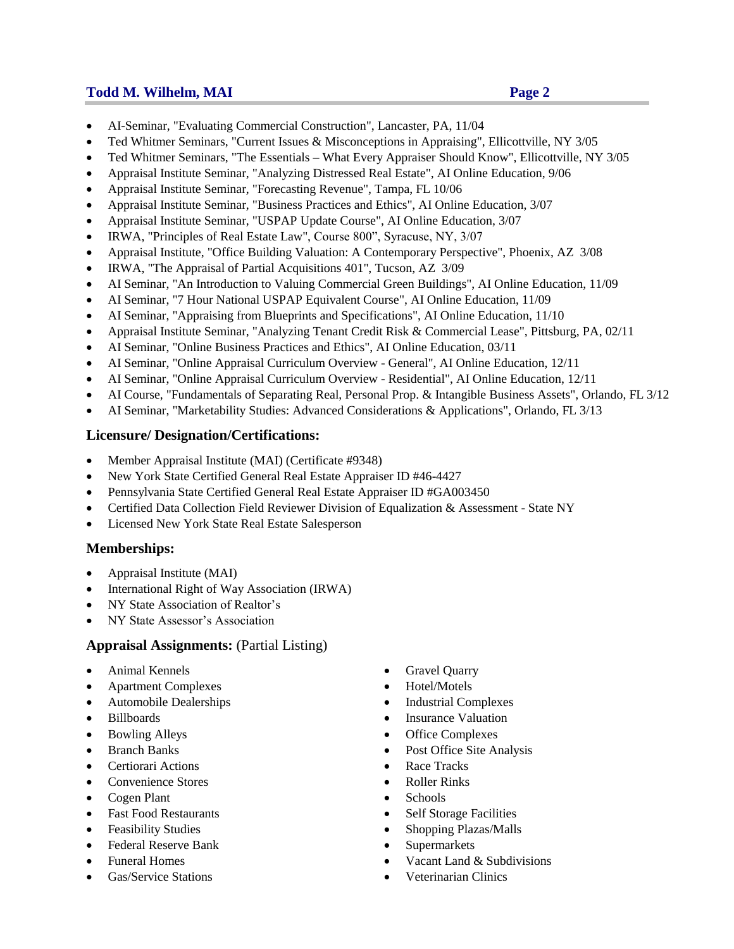## **Todd M. Wilhelm, MAI Page 2**

- AI-Seminar, "Evaluating Commercial Construction", Lancaster, PA, 11/04
- Ted Whitmer Seminars, "Current Issues & Misconceptions in Appraising", Ellicottville, NY 3/05
- Ted Whitmer Seminars, "The Essentials What Every Appraiser Should Know", Ellicottville, NY 3/05
- Appraisal Institute Seminar, "Analyzing Distressed Real Estate", AI Online Education, 9/06
- Appraisal Institute Seminar, "Forecasting Revenue", Tampa, FL 10/06
- Appraisal Institute Seminar, "Business Practices and Ethics", AI Online Education, 3/07
- Appraisal Institute Seminar, "USPAP Update Course", AI Online Education, 3/07
- IRWA, "Principles of Real Estate Law", Course 800", Syracuse, NY, 3/07
- Appraisal Institute, "Office Building Valuation: A Contemporary Perspective", Phoenix, AZ 3/08
- IRWA, "The Appraisal of Partial Acquisitions 401", Tucson, AZ 3/09
- AI Seminar, "An Introduction to Valuing Commercial Green Buildings", AI Online Education, 11/09
- AI Seminar, "7 Hour National USPAP Equivalent Course", AI Online Education, 11/09
- AI Seminar, "Appraising from Blueprints and Specifications", AI Online Education, 11/10
- Appraisal Institute Seminar, "Analyzing Tenant Credit Risk & Commercial Lease", Pittsburg, PA, 02/11
- AI Seminar, "Online Business Practices and Ethics", AI Online Education, 03/11
- AI Seminar, "Online Appraisal Curriculum Overview General", AI Online Education, 12/11
- AI Seminar, "Online Appraisal Curriculum Overview Residential", AI Online Education, 12/11
- AI Course, "Fundamentals of Separating Real, Personal Prop. & Intangible Business Assets", Orlando, FL 3/12
- AI Seminar, "Marketability Studies: Advanced Considerations & Applications", Orlando, FL 3/13

### **Licensure/ Designation/Certifications:**

- Member Appraisal Institute (MAI) (Certificate #9348)
- New York State Certified General Real Estate Appraiser ID #46-4427
- Pennsylvania State Certified General Real Estate Appraiser ID #GA003450
- Certified Data Collection Field Reviewer Division of Equalization & Assessment State NY
- Licensed New York State Real Estate Salesperson

# **Memberships:**

- Appraisal Institute (MAI)
- International Right of Way Association (IRWA)
- NY State Association of Realtor's
- NY State Assessor's Association

### **Appraisal Assignments:** (Partial Listing)

- 
- Apartment Complexes Hotel/Motels
- 
- 
- 
- 
- Certiorari Actions **Race Tracks Race Tracks**
- Convenience Stores **Convenience** Stores **Roller** Rinks
- Cogen Plant Cogen Plant Cogen Plant
- Fast Food Restaurants Self Storage Facilities
- 
- Federal Reserve Bank Supermarkets
- 
- 
- Animal Kennels **Gravel Quarry** 
	-
- Automobile Dealerships **Industrial Complexes**
- Billboards **Insurance Valuation**
- Bowling Alleys Office Complexes
	- Branch Banks **Post Office Site Analysis Post Office Site Analysis** 
		-
		-
		-
		-
	- Feasibility Studies **Shopping Plazas/Malls** 
		-
	- Funeral Homes **Contract Contract Contract Contract Contract Contract Contract Contract Contract Contract Contract Contract Contract Contract Contract Contract Contract Contract Contract Contract Contract Contract Contract**
	- Gas/Service Stations **Cas Veterinarian Clinics**